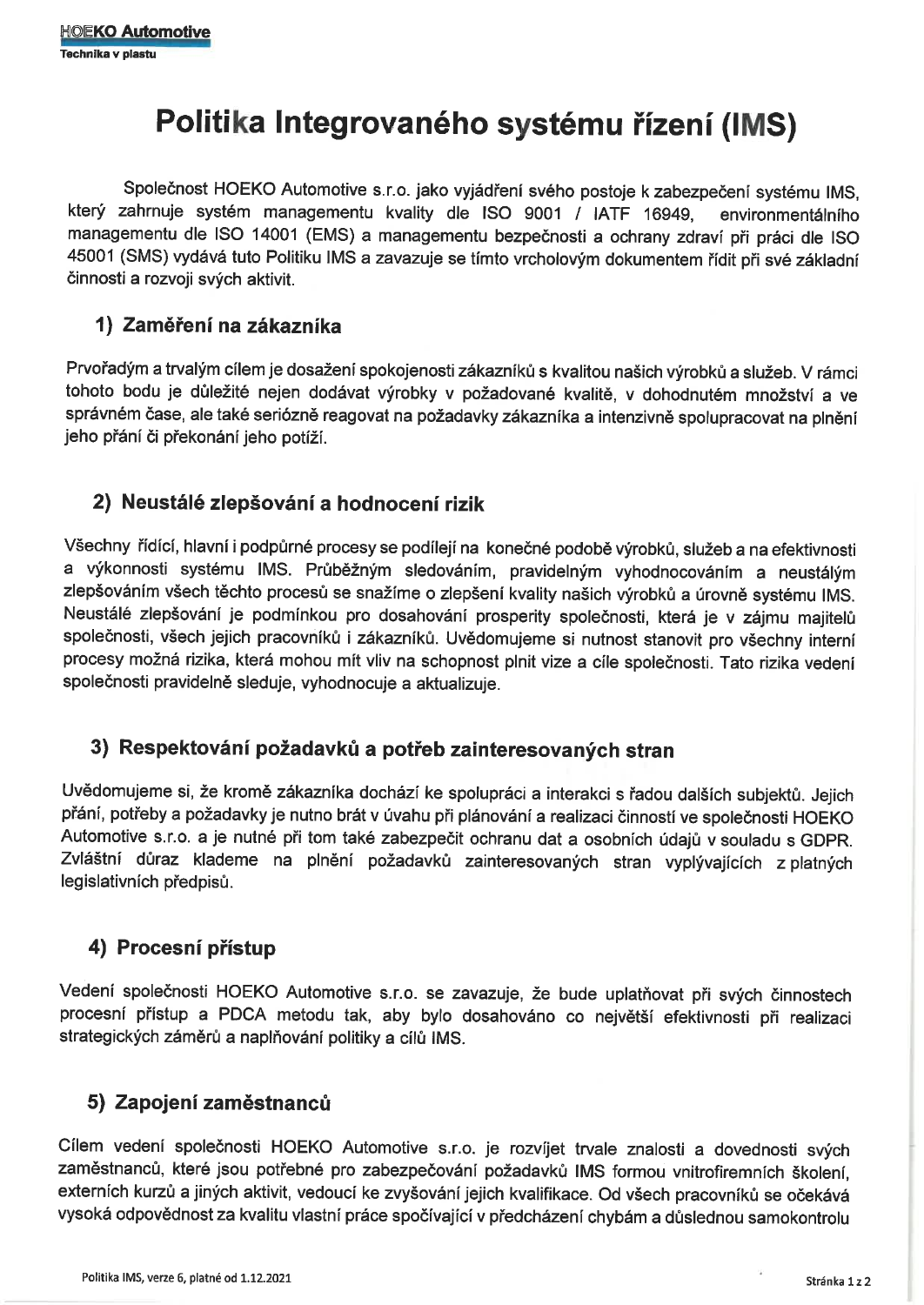# Politika Integrovaného systému řízení (IMS)

Společnost HOEKO Automotive s.r.o. jako vyjádření svého postoje k zabezpečení systému IMS, který zahrnuje systém managementu kvality dle ISO 9001 / IATF 16949, environmentálního managementu dle ISO 14001 (EMS) a managementu bezpečnosti a ochrany zdraví při práci dle ISO 45001 (SMS) vydává tuto Politiku IMS a zavazuje se tímto vrcholovým dokumentem řídit při své základní činnosti a rozvoji svých aktivit.

## 1) Zaměření na zákazníka

Prvořadým a trvalým cílem je dosažení spokojenosti zákazníků s kvalitou našich výrobků a služeb. V rámci tohoto bodu je důležité nejen dodávat výrobky v požadované kvalitě, v dohodnutém množství a ve správném čase, ale také seriózně reagovat na požadavky zákazníka a intenzivně spolupracovat na plnění jeho přání či překonání jeho potíží.

# 2) Neustálé zlepšování a hodnocení rizik

Všechny řídící, hlavní i podpůrné procesy se podílejí na konečné podobě výrobků, služeb a na efektivnosti a výkonnosti systému IMS. Průběžným sledováním, pravidelným vyhodnocováním a neustálým zlepšováním všech těchto procesů se snažíme o zlepšení kvality našich výrobků a úrovně systému IMS. Neustálé zlepšování je podmínkou pro dosahování prosperity společnosti, která je v zájmu majitelů společnosti, všech jejich pracovníků i zákazníků. Uvědomujeme si nutnost stanovit pro všechny interní procesy možná rizika, která mohou mít vliv na schopnost plnit vize a cíle společnosti. Tato rizika vedení společnosti pravidelně sleduje, vyhodnocuje a aktualizuje.

# 3) Respektování požadavků a potřeb zainteresovaných stran

Uvědomujeme si, že kromě zákazníka dochází ke spolupráci a interakci s řadou dalších subjektů. Jejich přání, potřeby a požadavky je nutno brát v úvahu při plánování a realizaci činností ve společnosti HOEKO Automotive s.r.o. a je nutné při tom také zabezpečit ochranu dat a osobních údajů v souladu s GDPR. Zvláštní důraz klademe na plnění požadavků zainteresovaných stran vyplývajících z platných legislativních předpisů.

# 4) Procesní přístup

Vedení společnosti HOEKO Automotive s.r.o. se zavazuje, že bude uplatňovat při svých činnostech procesní přístup a PDCA metodu tak, aby bylo dosahováno co největší efektivnosti při realizaci strategických záměrů a naplňování politiky a cílů IMS.

# 5) Zapojení zaměstnanců

Cílem vedení společnosti HOEKO Automotive s.r.o. je rozvíjet trvale znalosti a dovednosti svých zaměstnanců, které jsou potřebné pro zabezpečování požadavků IMS formou vnitrofiremních školení, externích kurzů a jiných aktivit, vedoucí ke zvyšování jejich kvalifikace. Od všech pracovníků se očekává vysoká odpovědnost za kvalitu vlastní práce spočívající v předcházení chybám a důslednou samokontrolu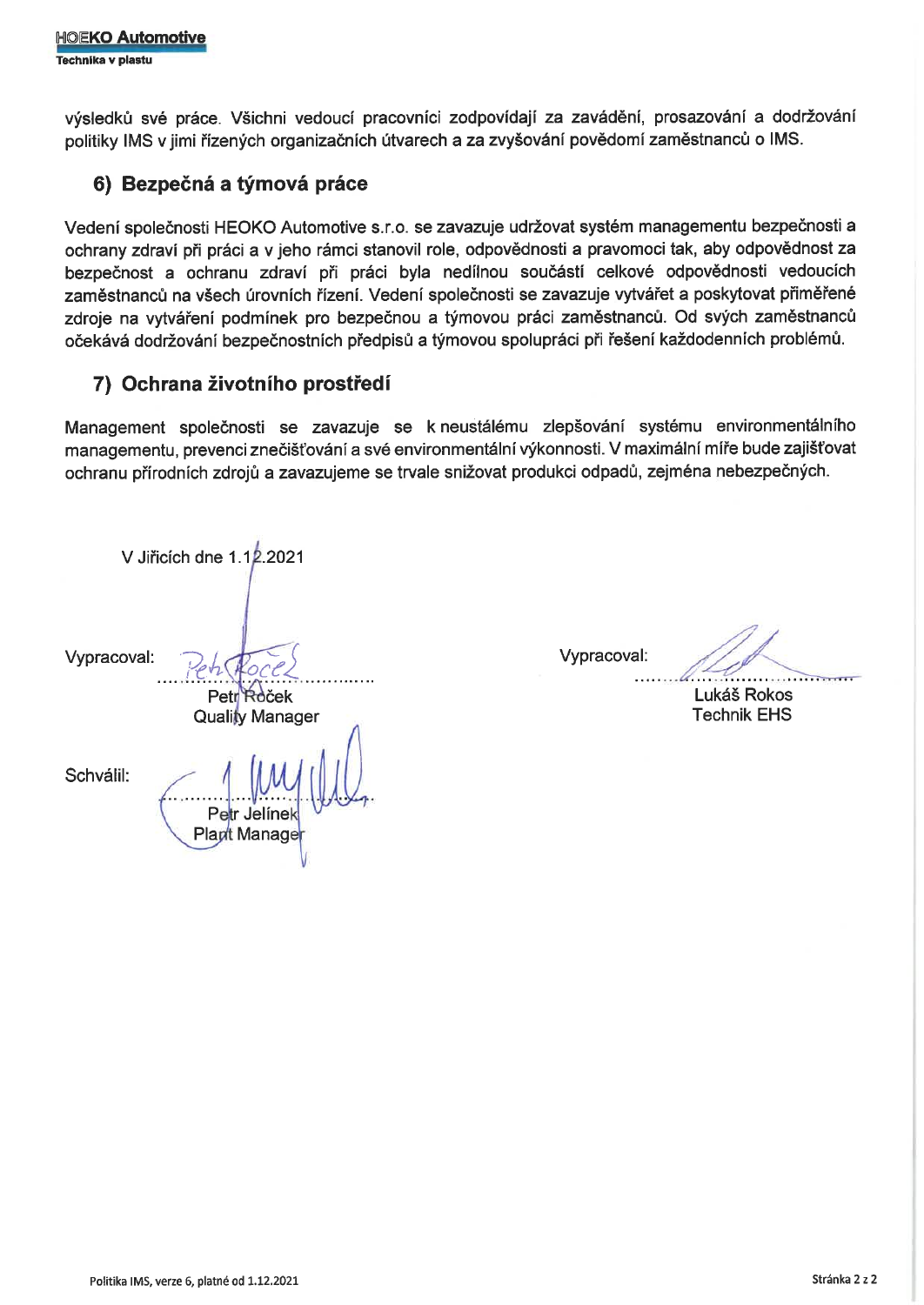výsledků své práce. Všichni vedoucí pracovníci zodpovídají za zavádění, prosazování a dodržování politiky IMS v jimi řízených organizačních útvarech a za zvyšování povědomí zaměstnanců o IMS.

### 6) Bezpečná a týmová práce

Vedení společnosti HEOKO Automotive s.r.o. se zavazuje udržovat systém managementu bezpečnosti a ochrany zdraví při práci a v jeho rámci stanovil role, odpovědnosti a pravomoci tak, aby odpovědnost za bezpečnost a ochranu zdraví při práci byla nedílnou součástí celkové odpovědnosti vedoucích zaměstnanců na všech úrovních řízení. Vedení společnosti se zavazuje vytvářet a poskytovat přiměřené zdroje na vytváření podmínek pro bezpečnou a týmovou práci zaměstnanců. Od svých zaměstnanců očekává dodržování bezpečnostních předpisů a týmovou spolupráci při řešení každodenních problémů.

## 7) Ochrana životního prostředí

Management společnosti se zavazuje se k neustálému zlepšování systému environmentálního managementu, prevenci znečišťování a své environmentální výkonnosti. V maximální míře bude zajišťovat ochranu přírodních zdrojů a zavazujeme se trvale snižovat produkci odpadů, zejména nebezpečných.

V Jiřicích dne 1.12.2021 Vypracoval: Petr Roček **Quality Manager** Schválil: Jelínel Plant Manage

Vypracoval:

Lukáš Rokos **Technik EHS**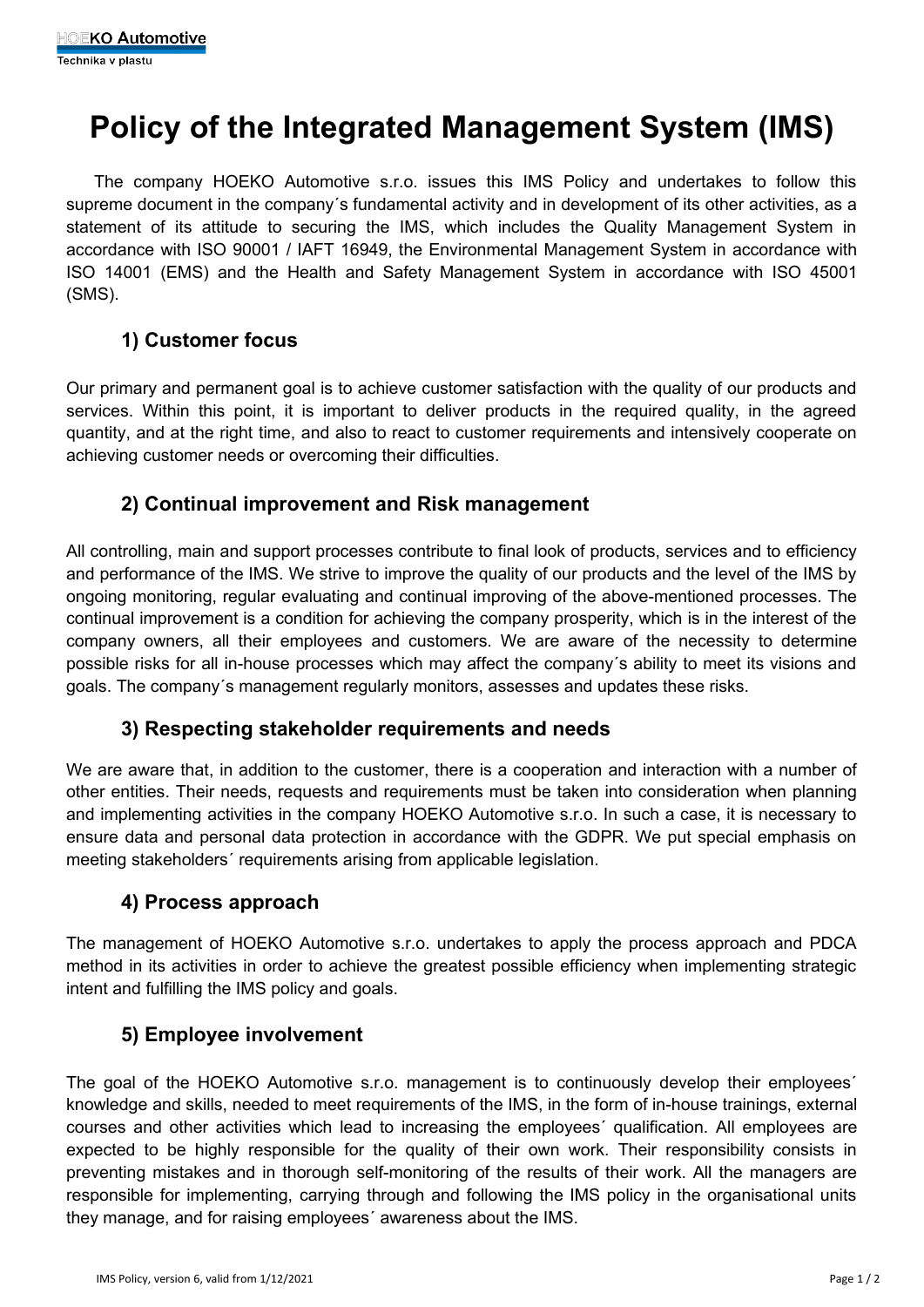# **Policy of the Integrated Management System (IMS)**

The company HOEKO Automotive s.r.o. issues this IMS Policy and undertakes to follow this supreme document in the company's fundamental activity and in development of its other activities, as a statement of its attitude to securing the IMS, which includes the Quality Management System in accordance with ISO 90001 / IAFT 16949, the Environmental Management System in accordance with ISO 14001 (EMS) and the Health and Safety Management System in accordance with ISO 45001 (SMS).

# **1) Customer focus**

Our primary and permanent goal is to achieve customer satisfaction with the quality of our products and services. Within this point, it is important to deliver products in the required quality, in the agreed quantity, and at the right time, and also to react to customer requirements and intensively cooperate on achieving customer needs or overcoming their difficulties.

#### **2) Continual improvement and Risk management**

All controlling, main and support processes contribute to final look of products, services and to efficiency and performance of the IMS. We strive to improve the quality of our products and the level of the IMS by ongoing monitoring, regular evaluating and continual improving of the above-mentioned processes. The continual improvement is a condition for achieving the company prosperity, which is in the interest of the company owners, all their employees and customers. We are aware of the necessity to determine possible risks for all in-house processes which may affect the company´s ability to meet its visions and goals. The company´s management regularly monitors, assesses and updates these risks.

### **3) Respecting stakeholder requirements and needs**

We are aware that, in addition to the customer, there is a cooperation and interaction with a number of other entities. Their needs, requests and requirements must be taken into consideration when planning and implementing activities in the company HOEKO Automotive s.r.o. In such a case, it is necessary to ensure data and personal data protection in accordance with the GDPR. We put special emphasis on meeting stakeholders´ requirements arising from applicable legislation.

### **4) Process approach**

The management of HOEKO Automotive s.r.o. undertakes to apply the process approach and PDCA method in its activities in order to achieve the greatest possible efficiency when implementing strategic intent and fulfilling the IMS policy and goals.

### **5) Employee involvement**

The goal of the HOEKO Automotive s.r.o. management is to continuously develop their employees´ knowledge and skills, needed to meet requirements of the IMS, in the form of in-house trainings, external courses and other activities which lead to increasing the employees´ qualification. All employees are expected to be highly responsible for the quality of their own work. Their responsibility consists in preventing mistakes and in thorough self-monitoring of the results of their work. All the managers are responsible for implementing, carrying through and following the IMS policy in the organisational units they manage, and for raising employees´ awareness about the IMS.